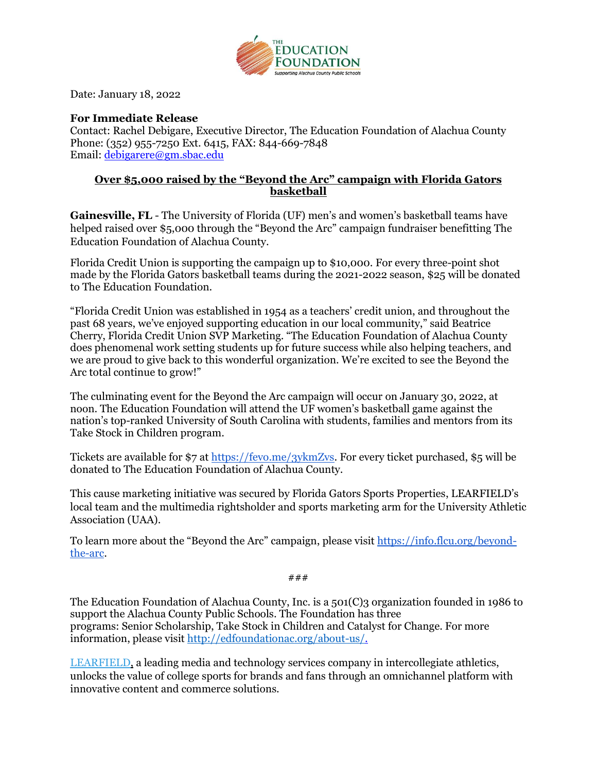

Date: January 18, 2022

## **For Immediate Release**

Contact: Rachel Debigare, Executive Director, The Education Foundation of Alachua County Phone: (352) 955-7250 Ext. 6415, FAX: 844-669-7848 Email: [debigarere@gm.sbac.edu](mailto:debigarere@gm.sbac.edu)

## **Over \$5,000 raised by the "Beyond the Arc" campaign with Florida Gators basketball**

**Gainesville, FL** - The University of Florida (UF) men's and women's basketball teams have helped raised over \$5,000 through the "Beyond the Arc" campaign fundraiser benefitting The Education Foundation of Alachua County.

Florida Credit Union is supporting the campaign up to \$10,000. For every three-point shot made by the Florida Gators basketball teams during the 2021-2022 season, \$25 will be donated to The Education Foundation.

"Florida Credit Union was established in 1954 as a teachers' credit union, and throughout the past 68 years, we've enjoyed supporting education in our local community," said Beatrice Cherry, Florida Credit Union SVP Marketing. "The Education Foundation of Alachua County does phenomenal work setting students up for future success while also helping teachers, and we are proud to give back to this wonderful organization. We're excited to see the Beyond the Arc total continue to grow!"

The culminating event for the Beyond the Arc campaign will occur on January 30, 2022, at noon. The Education Foundation will attend the UF women's basketball game against the nation's top-ranked University of South Carolina with students, families and mentors from its Take Stock in Children program.

Tickets are available for \$7 a[t https://fevo.me/3ykmZvs.](https://fevo.me/3ykmZvs) For every ticket purchased, \$5 will be donated to The Education Foundation of Alachua County.

This cause marketing initiative was secured by Florida Gators Sports Properties, LEARFIELD's local team and the multimedia rightsholder and sports marketing arm for the University Athletic Association (UAA).

To learn more about the "Beyond the Arc" campaign, please visit [https://info.flcu.org/beyond](https://info.flcu.org/beyond-the-arc)[the-arc.](https://info.flcu.org/beyond-the-arc)

###

The Education Foundation of Alachua County, Inc. is a 501(C)3 organization founded in 1986 to support the Alachua County Public Schools. The Foundation has three programs: Senior Scholarship, Take Stock in Children and Catalyst for Change. For more information, please visit [http://edfoundationac.org/about-us/.](http://edfoundationac.org/about-us/)

[LEARFIELD,](https://www.learfield.com/) a leading media and technology services company in intercollegiate athletics, unlocks the value of college sports for brands and fans through an omnichannel platform with innovative content and commerce solutions.